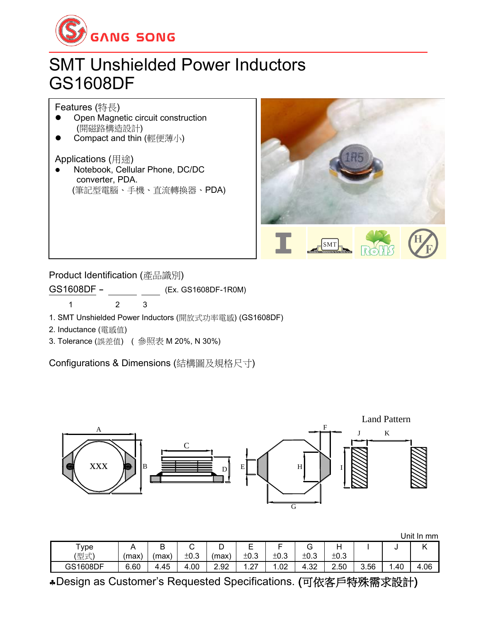

## SMT Unshielded Power Inductors GS1608DF

Features (特長)

- ⚫ Open Magnetic circuit construction (開磁路構造設計)
- Compact and thin (輕便薄小)

Applications (用途)

⚫ Notebook, Cellular Phone, DC/DC converter, PDA. (筆記型電腦、手機、直流轉換器、PDA)



Product Identification (產品識別)

GS1608DF - (Ex. GS1608DF-1R0M)

1 2 3

1. SMT Unshielded Power Inductors (開放式功率電感) (GS1608DF)

- 2. Inductance (電感值)
- 3. Tolerance (誤差值) ( 參照表 M 20%, N 30%)

Configurations & Dimensions (結構圖及規格尺寸)



|  | Unit In mm |
|--|------------|
|  |            |

|          |      |        |        |      |                          |      |        |      |      | Jnit | mm<br>-In |
|----------|------|--------|--------|------|--------------------------|------|--------|------|------|------|-----------|
| ype      |      | R<br>◡ | ⌒<br>◡ | ◡    | -                        | −    | ⌒<br>ت | Н    |      |      |           |
| (型式)     | (max | (max)  | ±0.3   | max  | ±0.3                     | ±0.3 | ±0.3   | ±0.3 |      |      |           |
| GS1608DF | 6.60 | 4.45   | 4.00   | 2.92 | $\sim$<br>. . <i>.</i> . | 1.02 | 4.32   | 2.50 | 3.56 | .40  | 4.06      |

Design as Customer's Requested Specifications. (可依客戶特殊需求設計)